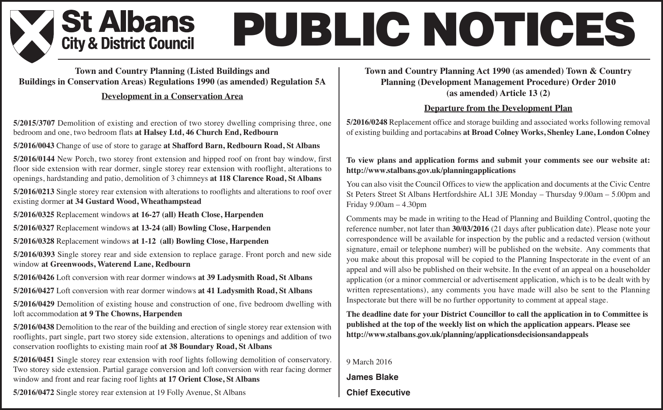### St Albans **City & District Council**

# **PUBLIC NOTICES**

**Town and Country Planning (Listed Buildings and Buildings in Conservation Areas) Regulations 1990 (as amended) Regulation 5A**

#### **Development in a Conservation Area**

**5/2015/3707** Demolition of existing and erection of two storey dwelling comprising three, one bedroom and one, two bedroom flats **at Halsey Ltd, 46 Church End, Redbourn**

**5/2016/0043** Change of use of store to garage **at Shafford Barn, Redbourn Road, St Albans**

**5/2016/0144** New Porch, two storey front extension and hipped roof on front bay window, first floor side extension with rear dormer, single storey rear extension with rooflight, alterations to openings, hardstanding and patio, demolition of 3 chimneys **at 118 Clarence Road, St Albans**

**5/2016/0213** Single storey rear extension with alterations to rooflights and alterations to roof over existing dormer **at 34 Gustard Wood, Wheathampstead**

**5/2016/0325** Replacement windows **at 16-27 (all) Heath Close, Harpenden**

**5/2016/0327** Replacement windows **at 13-24 (all) Bowling Close, Harpenden**

**5/2016/0328** Replacement windows **at 1-12 (all) Bowling Close, Harpenden**

**5/2016/0393** Single storey rear and side extension to replace garage. Front porch and new side window **at Greenwoods, Waterend Lane, Redbourn**

**5/2016/0426** Loft conversion with rear dormer windows **at 39 Ladysmith Road, St Albans**

**5/2016/0427** Loft conversion with rear dormer windows **at 41 Ladysmith Road, St Albans**

**5/2016/0429** Demolition of existing house and construction of one, five bedroom dwelling with loft accommodation **at 9 The Chowns, Harpenden**

**5/2016/0438** Demolition to the rear of the building and erection of single storey rear extension with rooflights, part single, part two storey side extension, alterations to openings and addition of two conservation rooflights to existing main roof **at 38 Boundary Road, St Albans**

**5/2016/0451** Single storey rear extension with roof lights following demolition of conservatory. Two storey side extension. Partial garage conversion and loft conversion with rear facing dormer window and front and rear facing roof lights **at 17 Orient Close, St Albans**

**5/2016/0472** Single storey rear extension at 19 Folly Avenue, St Albans

#### **Town and Country Planning Act 1990 (as amended) Town & Country Planning (Development Management Procedure) Order 2010 (as amended) Article 13 (2)**

#### **Departure from the Development Plan**

**5/2016/0248** Replacement office and storage building and associated works following removal of existing building and portacabins **at Broad Colney Works, Shenley Lane, London Colney**

#### **To view plans and application forms and submit your comments see our website at: http://www.stalbans.gov.uk/planningapplications**

You can also visit the Council Offices to view the application and documents at the Civic Centre St Peters Street St Albans Hertfordshire AL1 3JE Monday – Thursday 9.00am – 5.00pm and Friday 9.00am – 4.30pm

Comments may be made in writing to the Head of Planning and Building Control, quoting the reference number, not later than **30/03/2016** (21 days after publication date). Please note your correspondence will be available for inspection by the public and a redacted version (without signature, email or telephone number) will be published on the website. Any comments that you make about this proposal will be copied to the Planning Inspectorate in the event of an appeal and will also be published on their website. In the event of an appeal on a householder application (or a minor commercial or advertisement application, which is to be dealt with by written representations), any comments you have made will also be sent to the Planning Inspectorate but there will be no further opportunity to comment at appeal stage.

**The deadline date for your District Councillor to call the application in to Committee is published at the top of the weekly list on which the application appears. Please see http://www.stalbans.gov.uk/planning/applicationsdecisionsandappeals**

9 March 2016 **James Blake Chief Executive**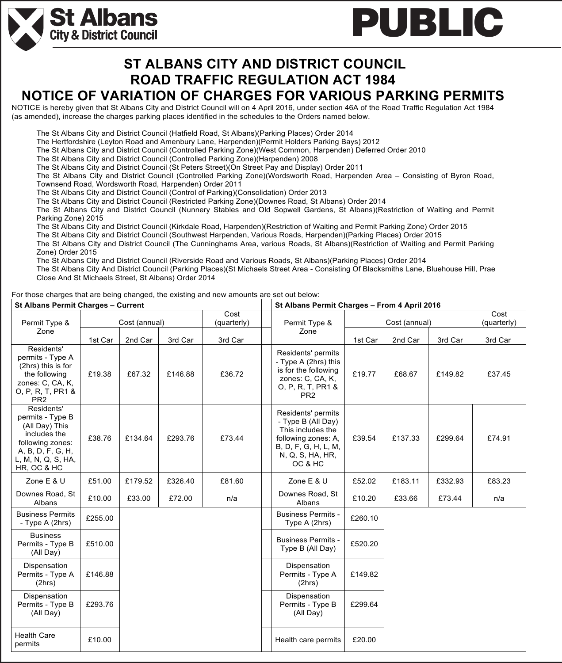

### **ROAD TRAFFIC REGULATION ACT 1984 NOTICE OF VARIATION OF CHARGES FOR VARIOUS PARKING PERMITS ST ALBANS CITY AND DISTRICT COUNCIL**

NOTICE is hereby given that St Albans City and District Council will on 4 April 2016, under section 46A of the Road Traffic Regulation Act 1984 (as amended), increase the charges parking places identified in the schedules to the Orders named below.

The St Albans City and District Council (Hatfield Road, St Albans)(Parking Places) Order 2014

The Hertfordshire (Leyton Road and Amenbury Lane, Harpenden)(Permit Holders Parking Bays) 2012

The St Albans City and District Council (Controlled Parking Zone)(West Common, Harpenden) Deferred Order 2010

The St Albans City and District Council (Controlled Parking Zone)(Harpenden) 2008

The St Albans City and District Council (St Peters Street)(On Street Pay and Display) Order 2011

The St Albans City and District Council (Controlled Parking Zone)(Wordsworth Road, Harpenden Area – Consisting of Byron Road,

Townsend Road, Wordsworth Road, Harpenden) Order 2011

**St Albans** 

**City & District Council** 

The St Albans City and District Council (Control of Parking)(Consolidation) Order 2013

The St Albans City and District Council (Restricted Parking Zone)(Downes Road, St Albans) Order 2014

The St Albans City and District Council (Nunnery Stables and Old Sopwell Gardens, St Albans)(Restriction of Waiting and Permit Parking Zone) 2015

The St Albans City and District Council (Kirkdale Road, Harpenden)(Restriction of Waiting and Permit Parking Zone) Order 2015

The St Albans City and District Council (Southwest Harpenden, Various Roads, Harpenden)(Parking Places) Order 2015

The St Albans City and District Council (The Cunninghams Area, various Roads, St Albans)(Restriction of Waiting and Permit Parking Zone) Order 2015

The St Albans City and District Council (Riverside Road and Various Roads, St Albans)(Parking Places) Order 2014

The St Albans City And District Council (Parking Places)(St Michaels Street Area - Consisting Of Blacksmiths Lane, Bluehouse Hill, Prae Close And St Michaels Street, St Albans) Order 2014

For those charges that are being changed, the existing and new amounts are set out below:

| <b>St Albans Permit Charges - Current</b>                                                                                                      |               |         |         |             | St Albans Permit Charges - From 4 April 2016                                                                                                |               |             |         |         |
|------------------------------------------------------------------------------------------------------------------------------------------------|---------------|---------|---------|-------------|---------------------------------------------------------------------------------------------------------------------------------------------|---------------|-------------|---------|---------|
|                                                                                                                                                |               |         |         | Cost        |                                                                                                                                             | Cost (annual) | Cost        |         |         |
| Permit Type &<br>Zone                                                                                                                          | Cost (annual) |         |         | (quarterly) | Permit Type &                                                                                                                               |               | (quarterly) |         |         |
|                                                                                                                                                | 1st Car       | 2nd Car | 3rd Car | 3rd Car     | Zone                                                                                                                                        | 1st Car       | 2nd Car     | 3rd Car | 3rd Car |
| Residents'<br>permits - Type A<br>(2hrs) this is for<br>the following<br>zones: C, CA, K,<br>O, P, R, T, PR1 &<br>PR <sub>2</sub>              | £19.38        | £67.32  | £146.88 | £36.72      | Residents' permits<br>- Type A (2hrs) this<br>is for the following<br>zones: C, CA, K,<br>O, P, R, T, PR1 &<br>PR <sub>2</sub>              | £19.77        | £68.67      | £149.82 | £37.45  |
| Residents'<br>permits - Type B<br>(All Day) This<br>includes the<br>following zones:<br>A, B, D, F, G, H,<br>L, M, N, Q, S, HA,<br>HR, OC & HC | £38.76        | £134.64 | £293.76 | £73.44      | Residents' permits<br>- Type B (All Day)<br>This includes the<br>following zones: A,<br>B, D, F, G, H, L, M,<br>N, Q, S, HA, HR,<br>OC & HC | £39.54        | £137.33     | £299.64 | £74.91  |
| Zone E & U                                                                                                                                     | £51.00        | £179.52 | £326.40 | £81.60      | Zone E & U                                                                                                                                  | £52.02        | £183.11     | £332.93 | £83.23  |
| Downes Road, St<br>Albans                                                                                                                      | £10.00        | £33.00  | £72.00  | n/a         | Downes Road, St<br>Albans                                                                                                                   | £10.20        | £33.66      | £73.44  | n/a     |
| <b>Business Permits</b><br>- Type A (2hrs)                                                                                                     | £255.00       |         |         |             | <b>Business Permits -</b><br>Type A (2hrs)                                                                                                  | £260.10       |             |         |         |
| <b>Business</b><br>Permits - Type B<br>(All Day)                                                                                               | £510.00       |         |         |             | <b>Business Permits -</b><br>Type B (All Day)                                                                                               | £520.20       |             |         |         |
| Dispensation<br>Permits - Type A<br>(2hrs)                                                                                                     | £146.88       |         |         |             | Dispensation<br>Permits - Type A<br>(2hrs)                                                                                                  | £149.82       |             |         |         |
| Dispensation<br>Permits - Type B<br>(All Day)                                                                                                  | £293.76       |         |         |             | Dispensation<br>Permits - Type B<br>(All Day)                                                                                               | £299.64       |             |         |         |
|                                                                                                                                                |               |         |         |             |                                                                                                                                             |               |             |         |         |
| <b>Health Care</b><br>permits                                                                                                                  | £10.00        |         |         |             | Health care permits                                                                                                                         | £20.00        |             |         |         |